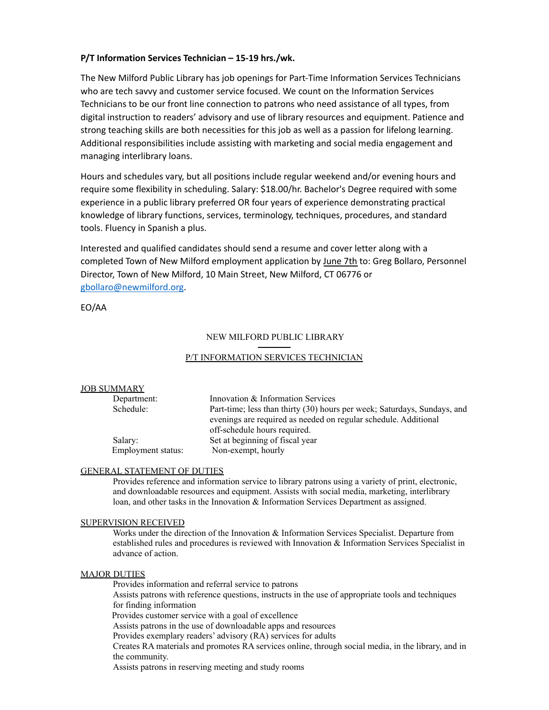# **P/T Information Services Technician – 15-19 hrs./wk.**

The New Milford Public Library has job openings for Part-Time Information Services Technicians who are tech savvy and customer service focused. We count on the Information Services Technicians to be our front line connection to patrons who need assistance of all types, from digital instruction to readers' advisory and use of library resources and equipment. Patience and strong teaching skills are both necessities for this job as well as a passion for lifelong learning. Additional responsibilities include assisting with marketing and social media engagement and managing interlibrary loans.

Hours and schedules vary, but all positions include regular weekend and/or evening hours and require some flexibility in scheduling. Salary: \$18.00/hr. Bachelor's Degree required with some experience in a public library preferred OR four years of experience demonstrating practical knowledge of library functions, services, terminology, techniques, procedures, and standard tools. Fluency in Spanish a plus.

Interested and qualified candidates should send a resume and cover letter along with a completed Town of New Milford employment application by **June 7th** to: Greg Bollaro, Personnel Director, Town of New Milford, 10 Main Street, New Milford, CT 06776 or [gbollaro@newmilford.org](mailto:gbollaro@newmilford.org).

EO/AA

## NEW MILFORD PUBLIC LIBRARY

## P/T INFORMATION SERVICES TECHNICIAN

### JOB SUMMARY

Department: Innovation & Information Services Schedule: Part-time; less than thirty (30) hours per week; Saturdays, Sundays, and evenings are required as needed on regular schedule. Additional off-schedule hours required. Salary: Set at beginning of fiscal year Employment status: Non-exempt, hourly

## GENERAL STATEMENT OF DUTIES

Provides reference and information service to library patrons using a variety of print, electronic, and downloadable resources and equipment. Assists with social media, marketing, interlibrary loan, and other tasks in the Innovation & Information Services Department as assigned.

### SUPERVISION RECEIVED

Works under the direction of the Innovation & Information Services Specialist. Departure from established rules and procedures is reviewed with Innovation & Information Services Specialist in advance of action.

### MAJOR DUTIES

Provides information and referral service to patrons

Assists patrons with reference questions, instructs in the use of appropriate tools and techniques for finding information

Provides customer service with a goal of excellence

Assists patrons in the use of downloadable apps and resources

Provides exemplary readers' advisory (RA) services for adults

Creates RA materials and promotes RA services online, through social media, in the library, and in the community.

Assists patrons in reserving meeting and study rooms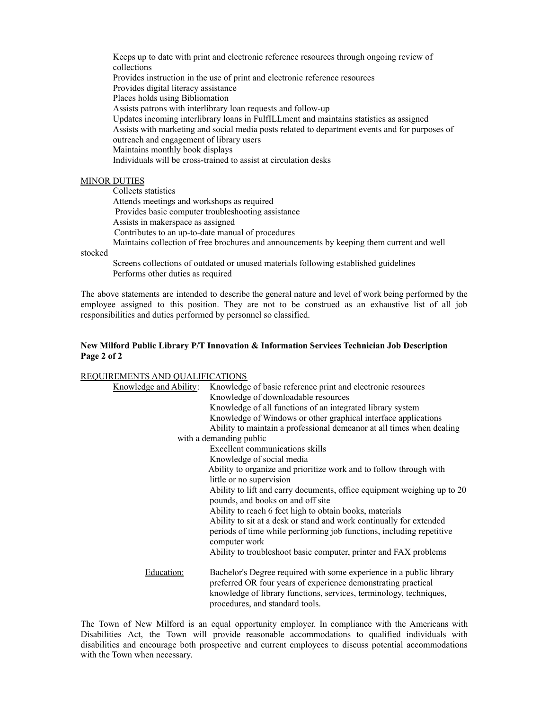Keeps up to date with print and electronic reference resources through ongoing review of collections Provides instruction in the use of print and electronic reference resources Provides digital literacy assistance Places holds using Bibliomation Assists patrons with interlibrary loan requests and follow-up Updates incoming interlibrary loans in FulfILLment and maintains statistics as assigned Assists with marketing and social media posts related to department events and for purposes of outreach and engagement of library users Maintains monthly book displays Individuals will be cross-trained to assist at circulation desks

### MINOR DUTIES

Collects statistics Attends meetings and workshops as required Provides basic computer troubleshooting assistance Assists in makerspace as assigned Contributes to an up-to-date manual of procedures Maintains collection of free brochures and announcements by keeping them current and well

stocked

Screens collections of outdated or unused materials following established guidelines Performs other duties as required

The above statements are intended to describe the general nature and level of work being performed by the employee assigned to this position. They are not to be construed as an exhaustive list of all job responsibilities and duties performed by personnel so classified.

### **New Milford Public Library P/T Innovation & Information Services Technician Job Description Page 2 of 2**

### REQUIREMENTS AND QUALIFICATIONS

| Knowledge and Ability: | Knowledge of basic reference print and electronic resources             |
|------------------------|-------------------------------------------------------------------------|
|                        | Knowledge of downloadable resources                                     |
|                        | Knowledge of all functions of an integrated library system              |
|                        | Knowledge of Windows or other graphical interface applications          |
|                        | Ability to maintain a professional demeanor at all times when dealing   |
|                        | with a demanding public                                                 |
|                        | Excellent communications skills                                         |
|                        | Knowledge of social media                                               |
|                        | Ability to organize and prioritize work and to follow through with      |
|                        | little or no supervision                                                |
|                        | Ability to lift and carry documents, office equipment weighing up to 20 |
|                        | pounds, and books on and off site                                       |
|                        | Ability to reach 6 feet high to obtain books, materials                 |
|                        | Ability to sit at a desk or stand and work continually for extended     |
|                        | periods of time while performing job functions, including repetitive    |
|                        | computer work                                                           |
|                        | Ability to troubleshoot basic computer, printer and FAX problems        |
|                        |                                                                         |
| Education:             | Bachelor's Degree required with some experience in a public library     |
|                        | preferred OR four years of experience demonstrating practical           |
|                        | knowledge of library functions, services, terminology, techniques,      |
|                        | procedures, and standard tools.                                         |

The Town of New Milford is an equal opportunity employer. In compliance with the Americans with Disabilities Act, the Town will provide reasonable accommodations to qualified individuals with disabilities and encourage both prospective and current employees to discuss potential accommodations with the Town when necessary.